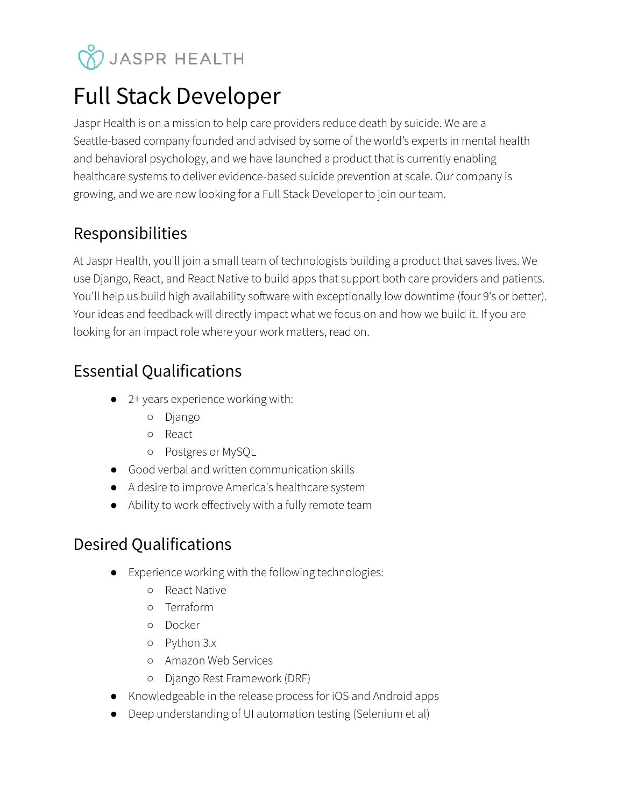# **V** JASPR HEALTH

# Full Stack Developer

Jaspr Health is on a mission to help care providers reduce death by suicide. We are a Seattle-based company founded and advised by some of the world's experts in mental health and behavioral psychology, and we have launched a product that is currently enabling healthcare systems to deliver evidence-based suicide prevention at scale. Our company is growing, and we are now looking for a Full Stack Developer to join our team.

## Responsibilities

At Jaspr Health, you'll join a small team of technologists building a product that saves lives. We use Django, React, and React Native to build apps that support both care providers and patients. You'll help us build high availability software with exceptionally low downtime (four 9's or better). Your ideas and feedback will directly impact what we focus on and how we build it. If you are looking for an impact role where your work matters, read on.

# Essential Qualifications

- 2+ years experience working with:
	- Django
	- React
	- Postgres or MySQL
- Good verbal and written communication skills
- A desire to improve America's healthcare system
- Ability to work effectively with a fully remote team

## Desired Qualifications

- Experience working with the following technologies:
	- React Native
	- Terraform
	- Docker
	- Python 3.x
	- Amazon Web Services
	- Django Rest Framework (DRF)
- Knowledgeable in the release process for iOS and Android apps
- Deep understanding of UI automation testing (Selenium et al)